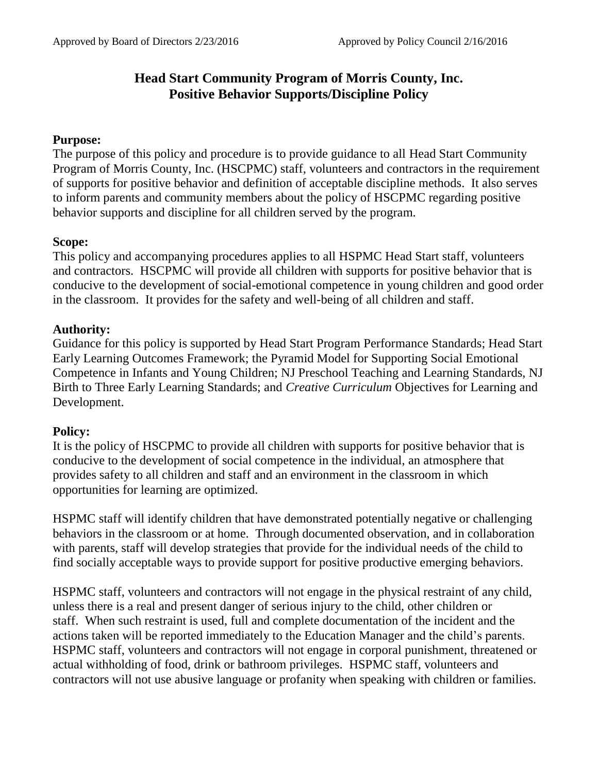# **Head Start Community Program of Morris County, Inc. Positive Behavior Supports/Discipline Policy**

# **Purpose:**

The purpose of this policy and procedure is to provide guidance to all Head Start Community Program of Morris County, Inc. (HSCPMC) staff, volunteers and contractors in the requirement of supports for positive behavior and definition of acceptable discipline methods. It also serves to inform parents and community members about the policy of HSCPMC regarding positive behavior supports and discipline for all children served by the program.

# **Scope:**

This policy and accompanying procedures applies to all HSPMC Head Start staff, volunteers and contractors. HSCPMC will provide all children with supports for positive behavior that is conducive to the development of social-emotional competence in young children and good order in the classroom. It provides for the safety and well-being of all children and staff.

# **Authority:**

Guidance for this policy is supported by Head Start Program Performance Standards; Head Start Early Learning Outcomes Framework; the Pyramid Model for Supporting Social Emotional Competence in Infants and Young Children; NJ Preschool Teaching and Learning Standards, NJ Birth to Three Early Learning Standards; and *Creative Curriculum* Objectives for Learning and Development.

## **Policy:**

It is the policy of HSCPMC to provide all children with supports for positive behavior that is conducive to the development of social competence in the individual, an atmosphere that provides safety to all children and staff and an environment in the classroom in which opportunities for learning are optimized.

HSPMC staff will identify children that have demonstrated potentially negative or challenging behaviors in the classroom or at home. Through documented observation, and in collaboration with parents, staff will develop strategies that provide for the individual needs of the child to find socially acceptable ways to provide support for positive productive emerging behaviors.

HSPMC staff, volunteers and contractors will not engage in the physical restraint of any child, unless there is a real and present danger of serious injury to the child, other children or staff. When such restraint is used, full and complete documentation of the incident and the actions taken will be reported immediately to the Education Manager and the child's parents. HSPMC staff, volunteers and contractors will not engage in corporal punishment, threatened or actual withholding of food, drink or bathroom privileges. HSPMC staff, volunteers and contractors will not use abusive language or profanity when speaking with children or families.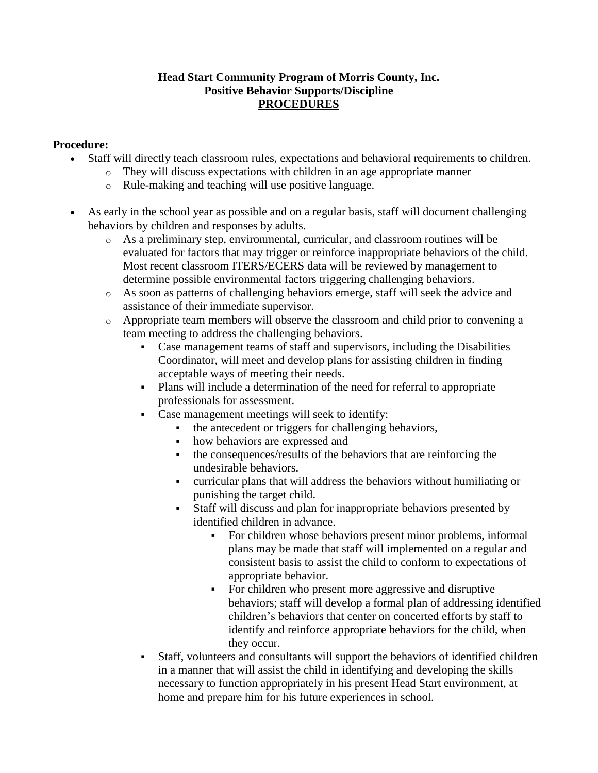#### **Head Start Community Program of Morris County, Inc. Positive Behavior Supports/Discipline PROCEDURES**

#### **Procedure:**

- Staff will directly teach classroom rules, expectations and behavioral requirements to children.
	- o They will discuss expectations with children in an age appropriate manner
	- o Rule-making and teaching will use positive language.
- As early in the school year as possible and on a regular basis, staff will document challenging behaviors by children and responses by adults.
	- o As a preliminary step, environmental, curricular, and classroom routines will be evaluated for factors that may trigger or reinforce inappropriate behaviors of the child. Most recent classroom ITERS/ECERS data will be reviewed by management to determine possible environmental factors triggering challenging behaviors.
	- o As soon as patterns of challenging behaviors emerge, staff will seek the advice and assistance of their immediate supervisor.
	- o Appropriate team members will observe the classroom and child prior to convening a team meeting to address the challenging behaviors.
		- Case management teams of staff and supervisors, including the Disabilities Coordinator, will meet and develop plans for assisting children in finding acceptable ways of meeting their needs.
		- Plans will include a determination of the need for referral to appropriate professionals for assessment.
		- Case management meetings will seek to identify:
			- the antecedent or triggers for challenging behaviors,
			- how behaviors are expressed and
			- the consequences/results of the behaviors that are reinforcing the undesirable behaviors.
			- curricular plans that will address the behaviors without humiliating or punishing the target child.
			- Staff will discuss and plan for inappropriate behaviors presented by identified children in advance.
				- For children whose behaviors present minor problems, informal plans may be made that staff will implemented on a regular and consistent basis to assist the child to conform to expectations of appropriate behavior.
				- For children who present more aggressive and disruptive behaviors; staff will develop a formal plan of addressing identified children's behaviors that center on concerted efforts by staff to identify and reinforce appropriate behaviors for the child, when they occur.
		- Staff, volunteers and consultants will support the behaviors of identified children in a manner that will assist the child in identifying and developing the skills necessary to function appropriately in his present Head Start environment, at home and prepare him for his future experiences in school.